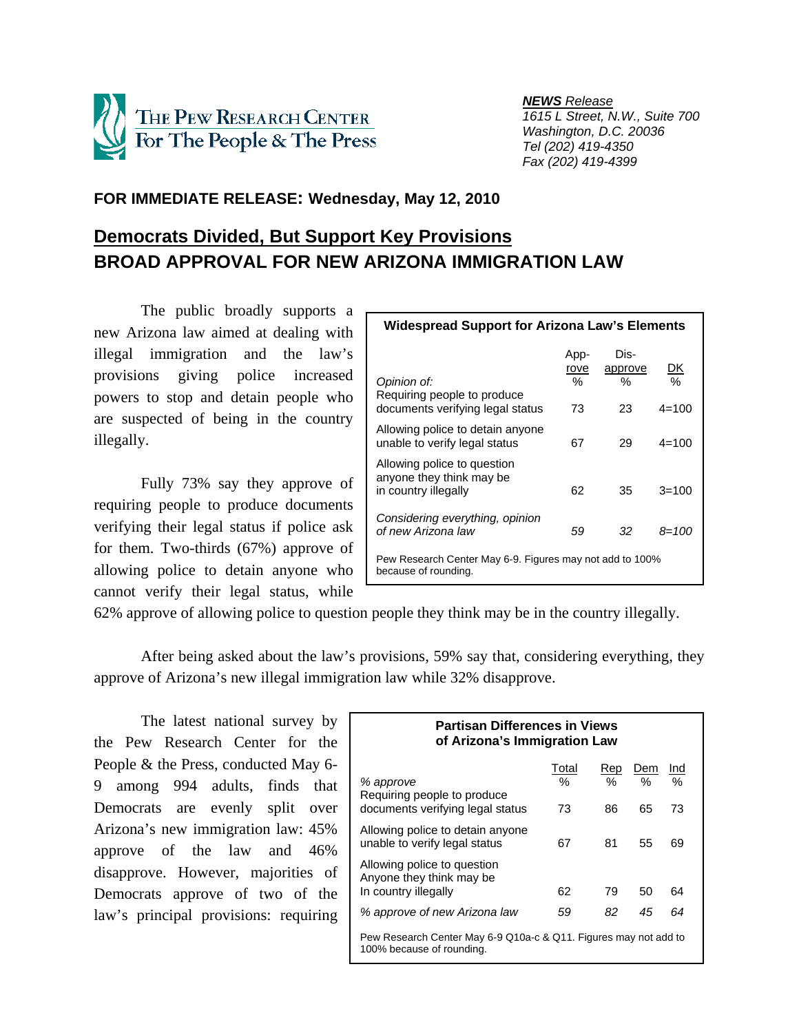

 *NEWS Release 1615 L Street, N.W., Suite 700 Washington, D.C. 20036 Tel (202) 419-4350 Fax (202) 419-4399*

# **FOR IMMEDIATE RELEASE: Wednesday, May 12, 2010**

# **Democrats Divided, But Support Key Provisions BROAD APPROVAL FOR NEW ARIZONA IMMIGRATION LAW**

 The public broadly supports a new Arizona law aimed at dealing with illegal immigration and the law's provisions giving police increased powers to stop and detain people who are suspected of being in the country illegally.

Fully 73% say they approve of requiring people to produce documents verifying their legal status if police ask for them. Two-thirds (67%) approve of allowing police to detain anyone who cannot verify their legal status, while

| <b>Widespread Support for Arizona Law's Elements</b>                             |                   |                      |                |  |  |  |  |
|----------------------------------------------------------------------------------|-------------------|----------------------|----------------|--|--|--|--|
| Opinion of:<br>Requiring people to produce                                       | App-<br>rove<br>% | Dis-<br>approve<br>℅ | <u>DK</u><br>% |  |  |  |  |
| documents verifying legal status                                                 | 73                | 23                   | $4 = 100$      |  |  |  |  |
| Allowing police to detain anyone<br>unable to verify legal status                | 67                | 29                   | $4 = 100$      |  |  |  |  |
| Allowing police to question<br>anyone they think may be<br>in country illegally  | 62                | 35                   | $3 = 100$      |  |  |  |  |
| Considering everything, opinion<br>of new Arizona law                            | 59                | 32                   | 8=100          |  |  |  |  |
| Pew Research Center May 6-9. Figures may not add to 100%<br>because of rounding. |                   |                      |                |  |  |  |  |

62% approve of allowing police to question people they think may be in the country illegally.

 After being asked about the law's provisions, 59% say that, considering everything, they approve of Arizona's new illegal immigration law while 32% disapprove.

 The latest national survey by the Pew Research Center for the People & the Press, conducted May 6- 9 among 994 adults, finds that Democrats are evenly split over Arizona's new immigration law: 45% approve of the law and 46% disapprove. However, majorities of Democrats approve of two of the law's principal provisions: requiring

| <b>Partisan Differences in Views</b><br>of Arizona's Immigration Law                                                                                  |                     |                   |                |                |  |  |  |
|-------------------------------------------------------------------------------------------------------------------------------------------------------|---------------------|-------------------|----------------|----------------|--|--|--|
| % approve<br>Requiring people to produce<br>documents verifying legal status                                                                          | Total<br>$\%$<br>73 | Rep<br>$\%$<br>86 | Dem<br>%<br>65 | Ind<br>%<br>73 |  |  |  |
| Allowing police to detain anyone<br>unable to verify legal status                                                                                     | 67                  | 81                | 55             | 69             |  |  |  |
| Allowing police to question<br>Anyone they think may be<br>In country illegally                                                                       | 62                  | 79                | 50             | 64             |  |  |  |
| % approve of new Arizona law<br>82<br>45<br>64<br>59<br>Pew Research Center May 6-9 Q10a-c & Q11. Figures may not add to<br>100% because of rounding. |                     |                   |                |                |  |  |  |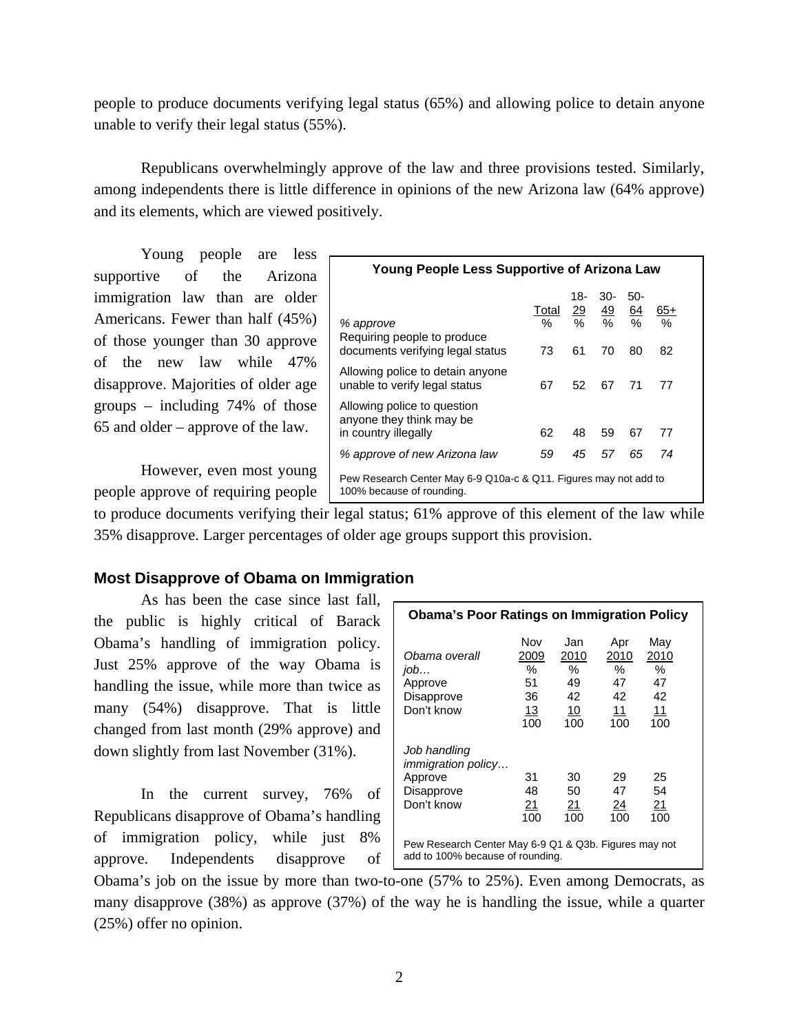people to produce documents verifying legal status (65%) and allowing police to detain anyone unable to verify their legal status (55%).

 Republicans overwhelmingly approve of the law and three provisions tested. Similarly, among independents there is little difference in opinions of the new Arizona law (64% approve) and its elements, which are viewed positively.

 Young people are less supportive of the Arizona immigration law than are older Americans. Fewer than half (45%) of those younger than 30 approve of the new law while 47% disapprove. Majorities of older age groups – including 74% of those 65 and older – approve of the law.

 However, even most young people approve of requiring people

| <b>Young People Less Supportive of Arizona Law</b>                                            |                  |           |                                               |                               |                              |  |
|-----------------------------------------------------------------------------------------------|------------------|-----------|-----------------------------------------------|-------------------------------|------------------------------|--|
| % approve<br>Requiring people to produce<br>documents verifying legal status                  | Total<br>℅<br>73 | 18-<br>61 | $30-$<br>$\frac{29}{49}$ $\frac{49}{%}$<br>70 | $50-$<br>$\frac{64}{%}$<br>80 | $65+$<br>$\frac{1}{2}$<br>82 |  |
| Allowing police to detain anyone<br>unable to verify legal status                             | 67               | 52        | 67                                            | 71                            | 77                           |  |
| Allowing police to question<br>anyone they think may be<br>in country illegally               | 62               | 48        | 59                                            | 67                            | 77                           |  |
| % approve of new Arizona law                                                                  | 59               | 45        | 57                                            | 65                            | 74                           |  |
| Pew Research Center May 6-9 Q10a-c & Q11. Figures may not add to<br>100% because of rounding. |                  |           |                                               |                               |                              |  |

to produce documents verifying their legal status; 61% approve of this element of the law while 35% disapprove. Larger percentages of older age groups support this provision.

# **Most Disapprove of Obama on Immigration**

 As has been the case since last fall, the public is highly critical of Barack Obama's handling of immigration policy. Just 25% approve of the way Obama is handling the issue, while more than twice as many (54%) disapprove. That is little changed from last month (29% approve) and down slightly from last November (31%).

 In the current survey, 76% of Republicans disapprove of Obama's handling of immigration policy, while just 8% approve. Independents disapprove of

| <b>Obama's Poor Ratings on Immigration Policy</b>                                         |                                           |                                              |                                              |                                                      |  |  |
|-------------------------------------------------------------------------------------------|-------------------------------------------|----------------------------------------------|----------------------------------------------|------------------------------------------------------|--|--|
| Obama overall<br>$j$ <sub>o</sub> $b$<br>Approve<br>Disapprove<br>Don't know              | Nov<br>2009<br>℅<br>51<br>36<br>13<br>100 | Jan<br>2010<br>$\%$<br>49<br>42<br>10<br>100 | Apr<br>2010<br>$\%$<br>47<br>42<br>11<br>100 | Mav<br>2010<br>$\%$<br>47<br>42<br><u> 11</u><br>100 |  |  |
| Job handling<br><i>immigration policy</i><br>Approve<br>Disapprove<br>Don't know          | 31<br>48<br>21<br>100                     | 30<br>50<br><u> 21</u><br>100                | 29<br>47<br><u>24</u><br>100                 | 25<br>54<br><u> 21</u><br>100                        |  |  |
| Pew Research Center May 6-9 Q1 & Q3b. Figures may not<br>add to 100% because of rounding. |                                           |                                              |                                              |                                                      |  |  |

Obama's job on the issue by more than two-to-one (57% to 25%). Even among Democrats, as many disapprove (38%) as approve (37%) of the way he is handling the issue, while a quarter (25%) offer no opinion.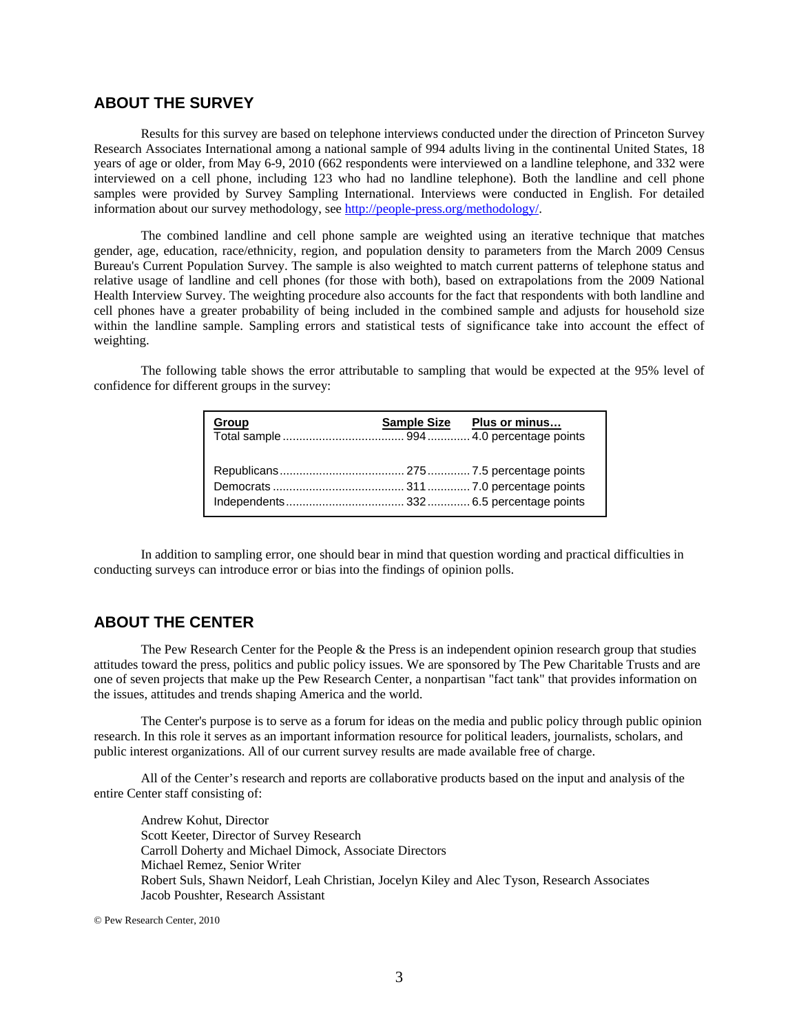## **ABOUT THE SURVEY**

Results for this survey are based on telephone interviews conducted under the direction of Princeton Survey Research Associates International among a national sample of 994 adults living in the continental United States, 18 years of age or older, from May 6-9, 2010 (662 respondents were interviewed on a landline telephone, and 332 were interviewed on a cell phone, including 123 who had no landline telephone). Both the landline and cell phone samples were provided by Survey Sampling International. Interviews were conducted in English. For detailed information about our survey methodology, see http://people-press.org/methodology/.

The combined landline and cell phone sample are weighted using an iterative technique that matches gender, age, education, race/ethnicity, region, and population density to parameters from the March 2009 Census Bureau's Current Population Survey. The sample is also weighted to match current patterns of telephone status and relative usage of landline and cell phones (for those with both), based on extrapolations from the 2009 National Health Interview Survey. The weighting procedure also accounts for the fact that respondents with both landline and cell phones have a greater probability of being included in the combined sample and adjusts for household size within the landline sample. Sampling errors and statistical tests of significance take into account the effect of weighting.

The following table shows the error attributable to sampling that would be expected at the 95% level of confidence for different groups in the survey:

| <b>Group</b> | <b>Sample Size</b> | Plus or minus |
|--------------|--------------------|---------------|
|              |                    |               |

In addition to sampling error, one should bear in mind that question wording and practical difficulties in conducting surveys can introduce error or bias into the findings of opinion polls.

## **ABOUT THE CENTER**

 The Pew Research Center for the People & the Press is an independent opinion research group that studies attitudes toward the press, politics and public policy issues. We are sponsored by The Pew Charitable Trusts and are one of seven projects that make up the Pew Research Center, a nonpartisan "fact tank" that provides information on the issues, attitudes and trends shaping America and the world.

 The Center's purpose is to serve as a forum for ideas on the media and public policy through public opinion research. In this role it serves as an important information resource for political leaders, journalists, scholars, and public interest organizations. All of our current survey results are made available free of charge.

 All of the Center's research and reports are collaborative products based on the input and analysis of the entire Center staff consisting of:

 Andrew Kohut, Director Scott Keeter, Director of Survey Research Carroll Doherty and Michael Dimock, Associate Directors Michael Remez, Senior Writer Robert Suls, Shawn Neidorf, Leah Christian, Jocelyn Kiley and Alec Tyson, Research Associates Jacob Poushter, Research Assistant

© Pew Research Center, 2010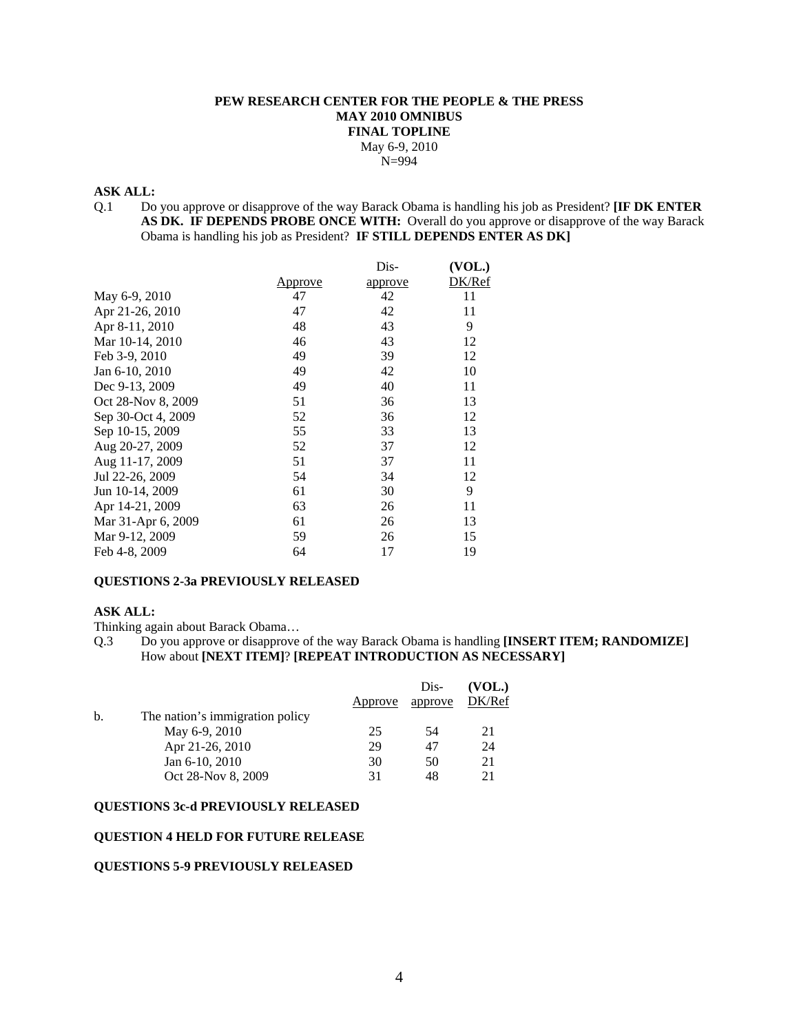## **PEW RESEARCH CENTER FOR THE PEOPLE & THE PRESS MAY 2010 OMNIBUS FINAL TOPLINE**  May 6-9, 2010 N=994

#### **ASK ALL:**

Q.1 Do you approve or disapprove of the way Barack Obama is handling his job as President? **[IF DK ENTER AS DK. IF DEPENDS PROBE ONCE WITH:** Overall do you approve or disapprove of the way Barack Obama is handling his job as President? **IF STILL DEPENDS ENTER AS DK]** 

|                    |         | Dis-    | (VOL.) |
|--------------------|---------|---------|--------|
|                    | Approve | approve | DK/Ref |
| May 6-9, 2010      | 47      | 42      | 11     |
| Apr 21-26, 2010    | 47      | 42      | 11     |
| Apr 8-11, 2010     | 48      | 43      | 9      |
| Mar 10-14, 2010    | 46      | 43      | 12     |
| Feb 3-9, 2010      | 49      | 39      | 12     |
| Jan 6-10, 2010     | 49      | 42      | 10     |
| Dec 9-13, 2009     | 49      | 40      | 11     |
| Oct 28-Nov 8, 2009 | 51      | 36      | 13     |
| Sep 30-Oct 4, 2009 | 52      | 36      | 12     |
| Sep 10-15, 2009    | 55      | 33      | 13     |
| Aug 20-27, 2009    | 52      | 37      | 12     |
| Aug 11-17, 2009    | 51      | 37      | 11     |
| Jul 22-26, 2009    | 54      | 34      | 12     |
| Jun 10-14, 2009    | 61      | 30      | 9      |
| Apr 14-21, 2009    | 63      | 26      | 11     |
| Mar 31-Apr 6, 2009 | 61      | 26      | 13     |
| Mar 9-12, 2009     | 59      | 26      | 15     |
| Feb 4-8, 2009      | 64      | 17      | 19     |

## **QUESTIONS 2-3a PREVIOUSLY RELEASED**

#### **ASK ALL:**

Thinking again about Barack Obama…

Q.3 Do you approve or disapprove of the way Barack Obama is handling **[INSERT ITEM; RANDOMIZE]**  How about **[NEXT ITEM]**? **[REPEAT INTRODUCTION AS NECESSARY]**

|                                 |         | Dis-    | (VOL.) |
|---------------------------------|---------|---------|--------|
|                                 | Approve | approve | DK/Ref |
| The nation's immigration policy |         |         |        |
| May 6-9, 2010                   | 25      | -54     | 21     |
| Apr 21-26, 2010                 | 29      | 47      | 24     |
| Jan 6-10, 2010                  | 30      | 50      | 21     |
| Oct 28-Nov 8, 2009              | 31      | 48      | 21     |
|                                 |         |         |        |

#### **QUESTIONS 3c-d PREVIOUSLY RELEASED**

#### **QUESTION 4 HELD FOR FUTURE RELEASE**

#### **QUESTIONS 5-9 PREVIOUSLY RELEASED**